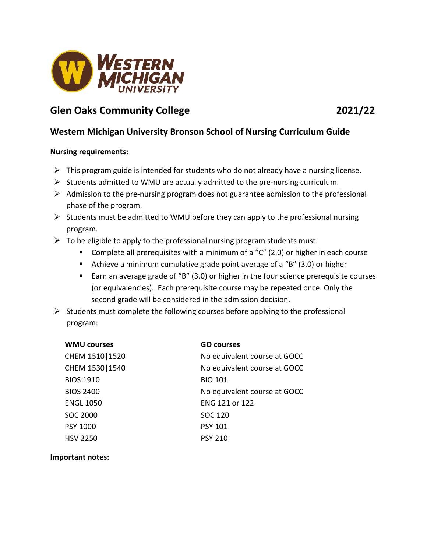

# **Glen Oaks Community College 2021/22**

## **Western Michigan University Bronson School of Nursing Curriculum Guide**

#### **Nursing requirements:**

- $\triangleright$  This program guide is intended for students who do not already have a nursing license.
- $\triangleright$  Students admitted to WMU are actually admitted to the pre-nursing curriculum.
- $\triangleright$  Admission to the pre-nursing program does not guarantee admission to the professional phase of the program.
- $\triangleright$  Students must be admitted to WMU before they can apply to the professional nursing program.
- $\triangleright$  To be eligible to apply to the professional nursing program students must:
	- **Complete all prerequisites with a minimum of a "C" (2.0) or higher in each course**
	- Achieve a minimum cumulative grade point average of a "B" (3.0) or higher
	- Earn an average grade of "B" (3.0) or higher in the four science prerequisite courses (or equivalencies). Each prerequisite course may be repeated once. Only the second grade will be considered in the admission decision.
- $\triangleright$  Students must complete the following courses before applying to the professional program:

| <b>WMU courses</b> | <b>GO courses</b>            |
|--------------------|------------------------------|
| CHEM 1510   1520   | No equivalent course at GOCC |
| CHEM 1530   1540   | No equivalent course at GOCC |
| <b>BIOS 1910</b>   | <b>BIO 101</b>               |
| <b>BIOS 2400</b>   | No equivalent course at GOCC |
| <b>ENGL 1050</b>   | ENG 121 or 122               |
| <b>SOC 2000</b>    | <b>SOC 120</b>               |
| <b>PSY 1000</b>    | <b>PSY 101</b>               |
| <b>HSV 2250</b>    | <b>PSY 210</b>               |

**Important notes:**